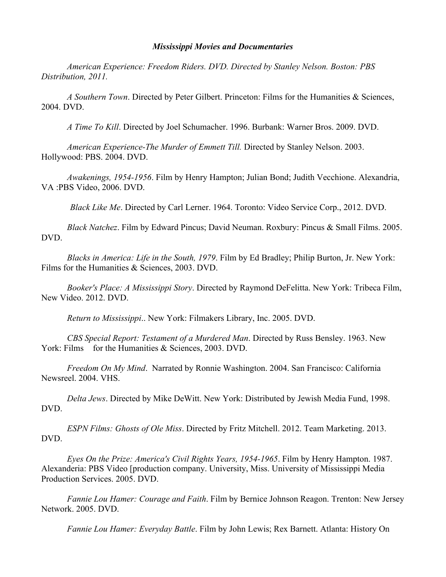## *Mississippi Movies and Documentaries*

*American Experience: Freedom Riders. DVD. Directed by Stanley Nelson. Boston: PBS Distribution, 2011.*

*A Southern Town*. Directed by Peter Gilbert. Princeton: Films for the Humanities & Sciences, 2004. DVD.

*A Time To Kill*. Directed by Joel Schumacher. 1996. Burbank: Warner Bros. 2009. DVD.

*American Experience-The Murder of Emmett Till.* Directed by Stanley Nelson. 2003. Hollywood: PBS. 2004. DVD.

*Awakenings, 1954-1956*. Film by Henry Hampton; Julian Bond; Judith Vecchione. Alexandria, VA :PBS Video, 2006. DVD.

*Black Like Me*. Directed by Carl Lerner. 1964. Toronto: Video Service Corp., 2012. DVD.

*Black Natchez*. Film by Edward Pincus; David Neuman. Roxbury: Pincus & Small Films. 2005. DVD.

*Blacks in America: Life in the South, 1979*. Film by Ed Bradley; Philip Burton, Jr. New York: Films for the Humanities & Sciences, 2003. DVD.

*Booker's Place: A Mississippi Story*. Directed by Raymond DeFelitta. New York: Tribeca Film, New Video. 2012. DVD.

*Return to Mississippi*.. New York: Filmakers Library, Inc. 2005. DVD.

*CBS Special Report: Testament of a Murdered Man*. Directed by Russ Bensley. 1963. New York: Films for the Humanities & Sciences, 2003. DVD.

*Freedom On My Mind*. Narrated by Ronnie Washington. 2004. San Francisco: California Newsreel. 2004. VHS.

*Delta Jews*. Directed by Mike DeWitt. New York: Distributed by Jewish Media Fund, 1998. DVD.

*ESPN Films: Ghosts of Ole Miss*. Directed by Fritz Mitchell. 2012. Team Marketing. 2013. DVD.

*Eyes On the Prize: America's Civil Rights Years, 1954-1965*. Film by Henry Hampton. 1987. Alexanderia: PBS Video [production company. University, Miss. University of Mississippi Media Production Services. 2005. DVD.

*Fannie Lou Hamer: Courage and Faith*. Film by Bernice Johnson Reagon. Trenton: New Jersey Network. 2005. DVD.

*Fannie Lou Hamer: Everyday Battle*. Film by John Lewis; Rex Barnett. Atlanta: History On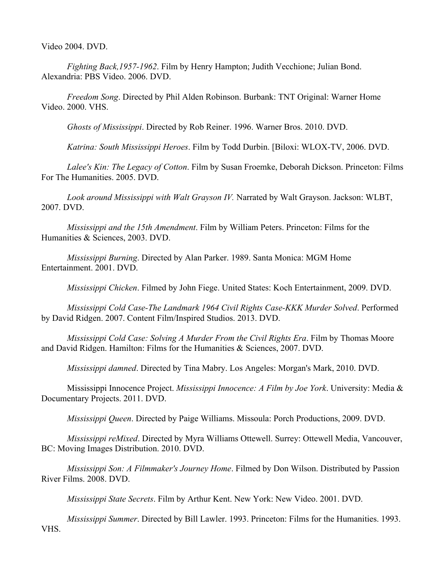Video 2004. DVD.

*Fighting Back,1957-1962*. Film by Henry Hampton; Judith Vecchione; Julian Bond. Alexandria: PBS Video. 2006. DVD.

*Freedom Song*. Directed by Phil Alden Robinson. Burbank: TNT Original: Warner Home Video. 2000. VHS.

*Ghosts of Mississippi*. Directed by Rob Reiner. 1996. Warner Bros. 2010. DVD.

*Katrina: South Mississippi Heroes*. Film by Todd Durbin. [Biloxi: WLOX-TV, 2006. DVD.

*Lalee's Kin: The Legacy of Cotton*. Film by Susan Froemke, Deborah Dickson. Princeton: Films For The Humanities. 2005. DVD.

*Look around Mississippi with Walt Grayson IV.* Narrated by Walt Grayson. Jackson: WLBT, 2007. DVD.

*Mississippi and the 15th Amendment*. Film by William Peters. Princeton: Films for the Humanities & Sciences, 2003. DVD.

*Mississippi Burning*. Directed by Alan Parker. 1989. Santa Monica: MGM Home Entertainment. 2001. DVD.

*Mississippi Chicken*. Filmed by John Fiege. United States: Koch Entertainment, 2009. DVD.

*Mississippi Cold Case-The Landmark 1964 Civil Rights Case-KKK Murder Solved*. Performed by David Ridgen. 2007. Content Film/Inspired Studios. 2013. DVD.

*Mississippi Cold Case: Solving A Murder From the Civil Rights Era*. Film by Thomas Moore and David Ridgen. Hamilton: Films for the Humanities & Sciences, 2007. DVD.

*Mississippi damned*. Directed by Tina Mabry. Los Angeles: Morgan's Mark, 2010. DVD.

Mississippi Innocence Project. *Mississippi Innocence: A Film by Joe York*. University: Media & Documentary Projects. 2011. DVD.

*Mississippi Queen*. Directed by Paige Williams. Missoula: Porch Productions, 2009. DVD.

*Mississippi reMixed*. Directed by Myra Williams Ottewell. Surrey: Ottewell Media, Vancouver, BC: Moving Images Distribution. 2010. DVD.

*Mississippi Son: A Filmmaker's Journey Home*. Filmed by Don Wilson. Distributed by Passion River Films. 2008. DVD.

*Mississippi State Secrets*. Film by Arthur Kent. New York: New Video. 2001. DVD.

*Mississippi Summer*. Directed by Bill Lawler. 1993. Princeton: Films for the Humanities. 1993. VHS.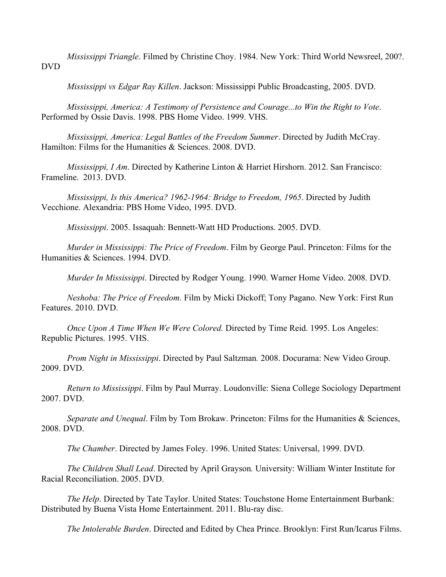*Mississippi Triangle*. Filmed by Christine Choy. 1984. New York: Third World Newsreel, 200?. DVD

*Mississippi vs Edgar Ray Killen*. Jackson: Mississippi Public Broadcasting, 2005. DVD.

*Mississippi, America: A Testimony of Persistence and Courage...to Win the Right to Vote*. Performed by Ossie Davis. 1998. PBS Home Video. 1999. VHS.

*Mississippi, America: Legal Battles of the Freedom Summer*. Directed by Judith McCray. Hamilton: Films for the Humanities & Sciences. 2008. DVD.

*Mississippi, I Am*. Directed by Katherine Linton & Harriet Hirshorn. 2012. San Francisco: Frameline. 2013. DVD.

*Mississippi, Is this America? 1962-1964: Bridge to Freedom, 1965*. Directed by Judith Vecchione. Alexandria: PBS Home Video, 1995. DVD.

*Mississippi*. 2005. Issaquah: Bennett-Watt HD Productions. 2005. DVD.

*Murder in Mississippi: The Price of Freedom*. Film by George Paul. Princeton: Films for the Humanities & Sciences. 1994. DVD.

*Murder In Mississippi*. Directed by Rodger Young. 1990. Warner Home Video. 2008. DVD.

*Neshoba: The Price of Freedom.* Film by Micki Dickoff; Tony Pagano. New York: First Run Features. 2010. DVD.

*Once Upon A Time When We Were Colored.* Directed by Time Reid. 1995. Los Angeles: Republic Pictures. 1995. VHS.

*Prom Night in Mississippi*. Directed by Paul Saltzman*.* 2008. Docurama: New Video Group. 2009. DVD.

*Return to Mississippi*. Film by Paul Murray. Loudonville: Siena College Sociology Department 2007. DVD.

*Separate and Unequal*. Film by Tom Brokaw. Princeton: Films for the Humanities & Sciences, 2008. DVD.

*The Chamber*. Directed by James Foley. 1996. United States: Universal, 1999. DVD.

*The Children Shall Lead*. Directed by April Grayson*.* University: William Winter Institute for Racial Reconciliation. 2005. DVD.

*The Help*. Directed by Tate Taylor. United States: Touchstone Home Entertainment Burbank: Distributed by Buena Vista Home Entertainment. 2011. Blu-ray disc.

*The Intolerable Burden*. Directed and Edited by Chea Prince. Brooklyn: First Run/Icarus Films.